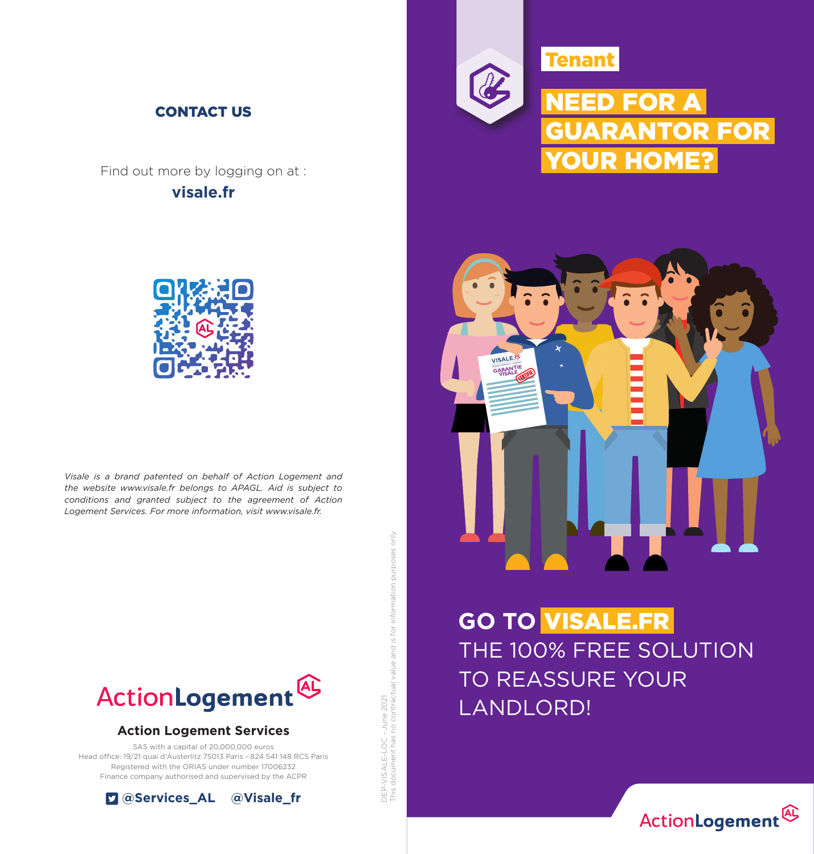

Find out more by logging on at : **visale.fr**



*Visale is a brand patented on behalf of Action Logement and the website www.visale.fr belongs to APAGL. Aid is subject to conditions and granted subject to the agreement of Action Logement Services. For more information, visit www.visale.fr.*



#### **Action Logement Services**

SAS with a capital of 20,000,000 euros Head office: 19/21 quai d'Austerlitz 75013 Paris - 824 541 148 RCS Paris Registered with the ORIAS under number 17006232 Finance company authorised and supervised by the ACPR



DEP-VISALE-LOC - June 2021<br>This document has no contractual value and is for information purposes only This document has no contractual value and is for information purposes only DEP-VISALE-LOC - June 2021





**GO TO**  VISALE.FR THE 100% FREE SOLUTION TO REASSURE YOUR **LANDLORD!**